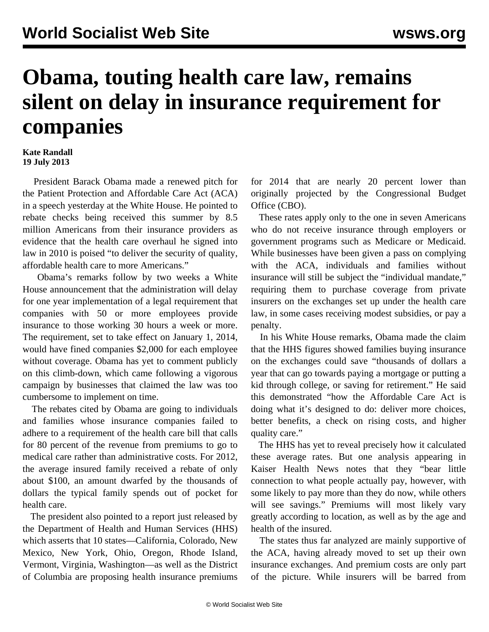## **Obama, touting health care law, remains silent on delay in insurance requirement for companies**

## **Kate Randall 19 July 2013**

 President Barack Obama made a renewed pitch for the Patient Protection and Affordable Care Act (ACA) in a speech yesterday at the White House. He pointed to rebate checks being received this summer by 8.5 million Americans from their insurance providers as evidence that the health care overhaul he signed into law in 2010 is poised "to deliver the security of quality, affordable health care to more Americans."

 Obama's remarks follow by two weeks a White House announcement that the administration will delay for one year implementation of a legal requirement that companies with 50 or more employees provide insurance to those working 30 hours a week or more. The requirement, set to take effect on January 1, 2014, would have fined companies \$2,000 for each employee without coverage. Obama has yet to comment publicly on this climb-down, which came following a vigorous campaign by businesses that claimed the law was too cumbersome to implement on time.

 The rebates cited by Obama are going to individuals and families whose insurance companies failed to adhere to a requirement of the health care bill that calls for 80 percent of the revenue from premiums to go to medical care rather than administrative costs. For 2012, the average insured family received a rebate of only about \$100, an amount dwarfed by the thousands of dollars the typical family spends out of pocket for health care.

 The president also pointed to a report just released by the Department of Health and Human Services (HHS) which asserts that 10 states—California, Colorado, New Mexico, New York, Ohio, Oregon, Rhode Island, Vermont, Virginia, Washington—as well as the District of Columbia are proposing health insurance premiums

for 2014 that are nearly 20 percent lower than originally projected by the Congressional Budget Office (CBO).

 These rates apply only to the one in seven Americans who do not receive insurance through employers or government programs such as Medicare or Medicaid. While businesses have been given a pass on complying with the ACA, individuals and families without insurance will still be subject the "individual mandate," requiring them to purchase coverage from private insurers on the exchanges set up under the health care law, in some cases receiving modest subsidies, or pay a penalty.

 In his White House remarks, Obama made the claim that the HHS figures showed families buying insurance on the exchanges could save "thousands of dollars a year that can go towards paying a mortgage or putting a kid through college, or saving for retirement." He said this demonstrated "how the Affordable Care Act is doing what it's designed to do: deliver more choices, better benefits, a check on rising costs, and higher quality care."

 The HHS has yet to reveal precisely how it calculated these average rates. But one analysis appearing in Kaiser Health News notes that they "bear little connection to what people actually pay, however, with some likely to pay more than they do now, while others will see savings." Premiums will most likely vary greatly according to location, as well as by the age and health of the insured.

 The states thus far analyzed are mainly supportive of the ACA, having already moved to set up their own insurance exchanges. And premium costs are only part of the picture. While insurers will be barred from